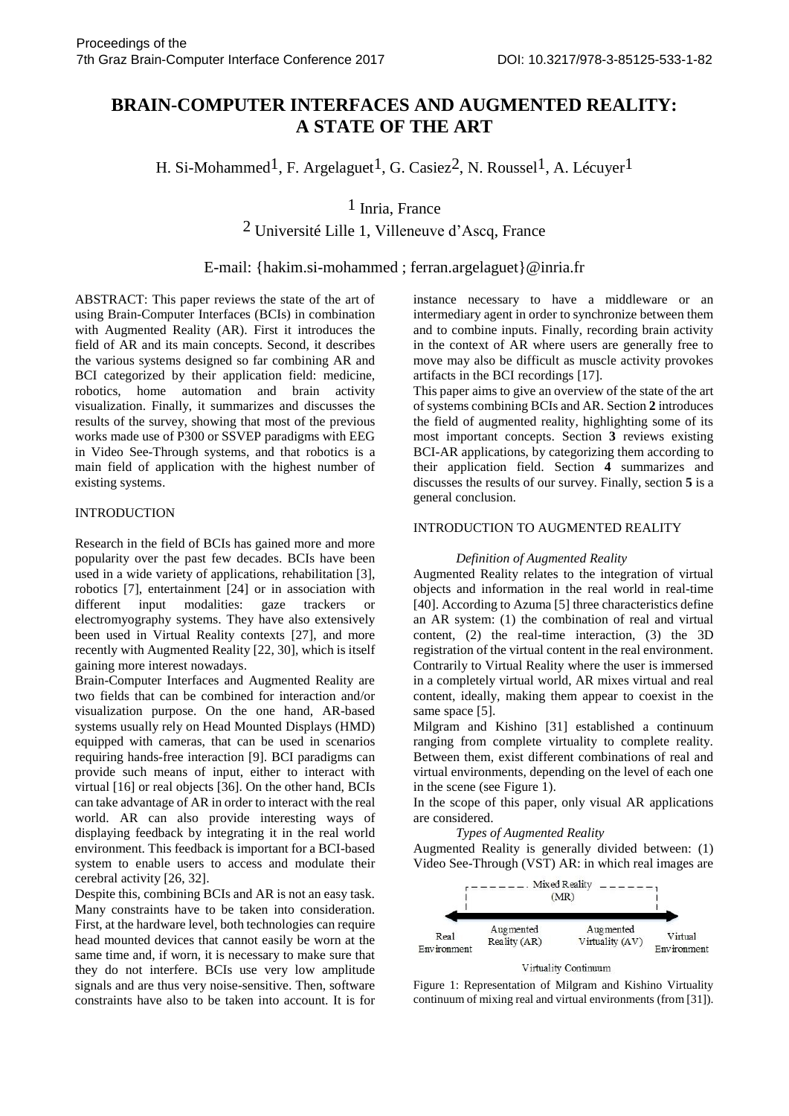# **BRAIN-COMPUTER INTERFACES AND AUGMENTED REALITY: A STATE OF THE ART**

H. Si-Mohammed<sup>1</sup>, F. Argelaguet<sup>1</sup>, G. Casiez<sup>2</sup>, N. Roussel<sup>1</sup>, A. Lécuver<sup>1</sup>

## 1 Inria, France

2 Université Lille 1, Villeneuve d'Ascq, France

## E-mail: {hakim.si-mohammed ; ferran.argelaguet}@inria.fr

ABSTRACT: This paper reviews the state of the art of using Brain-Computer Interfaces (BCIs) in combination with Augmented Reality (AR). First it introduces the field of AR and its main concepts. Second, it describes the various systems designed so far combining AR and BCI categorized by their application field: medicine, robotics, home automation and brain activity visualization. Finally, it summarizes and discusses the results of the survey, showing that most of the previous works made use of P300 or SSVEP paradigms with EEG in Video See-Through systems, and that robotics is a main field of application with the highest number of existing systems.

#### INTRODUCTION

Research in the field of BCIs has gained more and more popularity over the past few decades. BCIs have been used in a wide variety of applications, rehabilitation [3], robotics [7], entertainment [24] or in association with<br>different input modalities: gaze trackers or different input modalities: gaze trackers or electromyography systems. They have also extensively been used in Virtual Reality contexts [27], and more recently with Augmented Reality [22, 30], which is itself gaining more interest nowadays.

Brain-Computer Interfaces and Augmented Reality are two fields that can be combined for interaction and/or visualization purpose. On the one hand, AR-based systems usually rely on Head Mounted Displays (HMD) equipped with cameras, that can be used in scenarios requiring hands-free interaction [9]. BCI paradigms can provide such means of input, either to interact with virtual [16] or real objects [36]. On the other hand, BCIs can take advantage of AR in order to interact with the real world. AR can also provide interesting ways of displaying feedback by integrating it in the real world environment. This feedback is important for a BCI-based system to enable users to access and modulate their cerebral activity [26, 32].

Despite this, combining BCIs and AR is not an easy task. Many constraints have to be taken into consideration. First, at the hardware level, both technologies can require head mounted devices that cannot easily be worn at the same time and, if worn, it is necessary to make sure that they do not interfere. BCIs use very low amplitude signals and are thus very noise-sensitive. Then, software constraints have also to be taken into account. It is for instance necessary to have a middleware or an intermediary agent in order to synchronize between them and to combine inputs. Finally, recording brain activity in the context of AR where users are generally free to move may also be difficult as muscle activity provokes artifacts in the BCI recordings [17].

This paper aims to give an overview of the state of the art of systems combining BCIs and AR. Section **2** introduces the field of augmented reality, highlighting some of its most important concepts. Section **3** reviews existing BCI-AR applications, by categorizing them according to their application field. Section **4** summarizes and discusses the results of our survey. Finally, section **5** is a general conclusion.

### INTRODUCTION TO AUGMENTED REALITY

#### *Definition of Augmented Reality*

Augmented Reality relates to the integration of virtual objects and information in the real world in real-time [40]. According to Azuma [5] three characteristics define an AR system: (1) the combination of real and virtual content, (2) the real-time interaction, (3) the 3D registration of the virtual content in the real environment. Contrarily to Virtual Reality where the user is immersed in a completely virtual world, AR mixes virtual and real content, ideally, making them appear to coexist in the same space [5].

Milgram and Kishino [31] established a continuum ranging from complete virtuality to complete reality. Between them, exist different combinations of real and virtual environments, depending on the level of each one in the scene (see Figure 1).

In the scope of this paper, only visual AR applications are considered.

*Types of Augmented Reality*

Augmented Reality is generally divided between: (1) Video See-Through (VST) AR: in which real images are



Virtuality Continuum

Figure 1: Representation of Milgram and Kishino Virtuality continuum of mixing real and virtual environments (from [31]).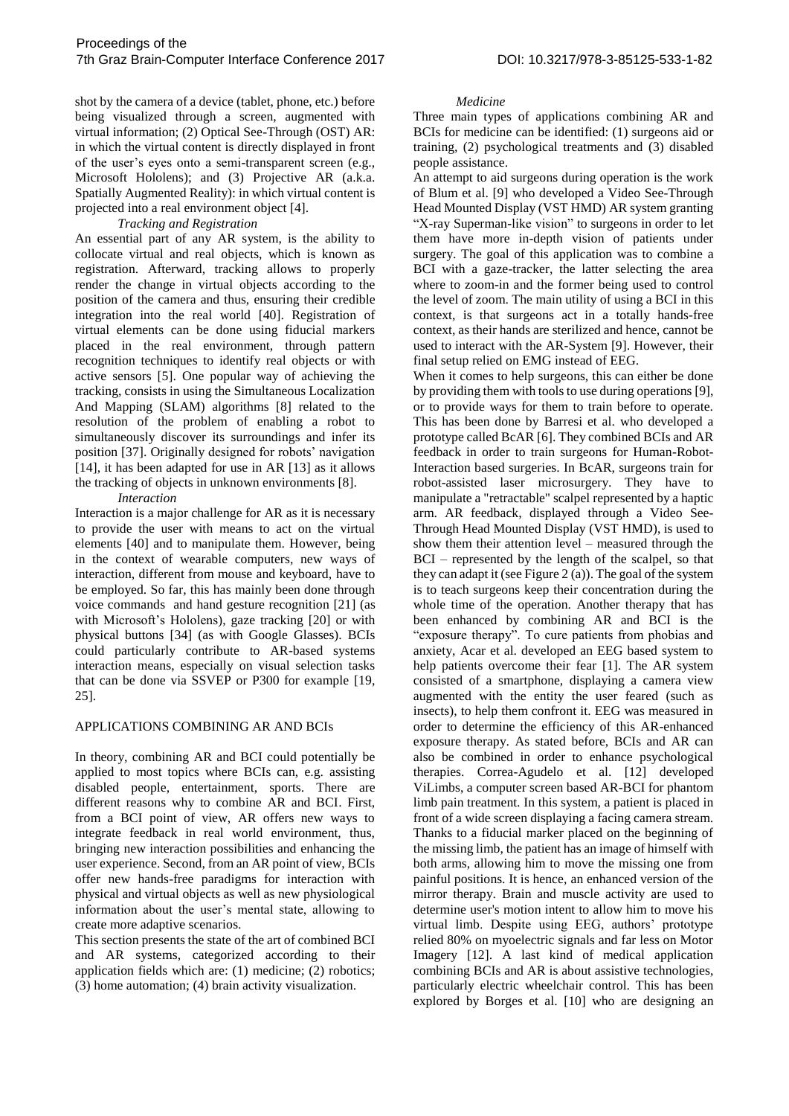shot by the camera of a device (tablet, phone, etc.) before being visualized through a screen, augmented with virtual information; (2) Optical See-Through (OST) AR: in which the virtual content is directly displayed in front of the user's eyes onto a semi-transparent screen (e.g., Microsoft Hololens); and (3) Projective AR (a.k.a. Spatially Augmented Reality): in which virtual content is projected into a real environment object [4].

## *Tracking and Registration*

An essential part of any AR system, is the ability to collocate virtual and real objects, which is known as registration. Afterward, tracking allows to properly render the change in virtual objects according to the position of the camera and thus, ensuring their credible integration into the real world [40]. Registration of virtual elements can be done using fiducial markers placed in the real environment, through pattern recognition techniques to identify real objects or with active sensors [5]. One popular way of achieving the tracking, consists in using the Simultaneous Localization And Mapping (SLAM) algorithms [8] related to the resolution of the problem of enabling a robot to simultaneously discover its surroundings and infer its position [37]. Originally designed for robots' navigation [14], it has been adapted for use in AR [13] as it allows the tracking of objects in unknown environments [8].

#### *Interaction*

Interaction is a major challenge for AR as it is necessary to provide the user with means to act on the virtual elements [40] and to manipulate them. However, being in the context of wearable computers, new ways of interaction, different from mouse and keyboard, have to be employed. So far, this has mainly been done through voice commands and hand gesture recognition [21] (as with Microsoft's Hololens), gaze tracking [20] or with physical buttons [34] (as with Google Glasses). BCIs could particularly contribute to AR-based systems interaction means, especially on visual selection tasks that can be done via SSVEP or P300 for example [19, 25].

## APPLICATIONS COMBINING AR AND BCIs

In theory, combining AR and BCI could potentially be applied to most topics where BCIs can, e.g. assisting disabled people, entertainment, sports. There are different reasons why to combine AR and BCI. First, from a BCI point of view, AR offers new ways to integrate feedback in real world environment, thus, bringing new interaction possibilities and enhancing the user experience. Second, from an AR point of view, BCIs offer new hands-free paradigms for interaction with physical and virtual objects as well as new physiological information about the user's mental state, allowing to create more adaptive scenarios.

This section presents the state of the art of combined BCI and AR systems, categorized according to their application fields which are: (1) medicine; (2) robotics; (3) home automation; (4) brain activity visualization.

### *Medicine*

Three main types of applications combining AR and BCIs for medicine can be identified: (1) surgeons aid or training, (2) psychological treatments and (3) disabled people assistance.

An attempt to aid surgeons during operation is the work of Blum et al. [9] who developed a Video See-Through Head Mounted Display (VST HMD) AR system granting "X-ray Superman-like vision" to surgeons in order to let them have more in-depth vision of patients under surgery. The goal of this application was to combine a BCI with a gaze-tracker, the latter selecting the area where to zoom-in and the former being used to control the level of zoom. The main utility of using a BCI in this context, is that surgeons act in a totally hands-free context, as their hands are sterilized and hence, cannot be used to interact with the AR-System [9]. However, their final setup relied on EMG instead of EEG.

When it comes to help surgeons, this can either be done by providing them with tools to use during operations [9], or to provide ways for them to train before to operate. This has been done by Barresi et al. who developed a prototype called BcAR [6]. They combined BCIs and AR feedback in order to train surgeons for Human-Robot-Interaction based surgeries. In BcAR, surgeons train for robot-assisted laser microsurgery. They have to manipulate a "retractable" scalpel represented by a haptic arm. AR feedback, displayed through a Video See-Through Head Mounted Display (VST HMD), is used to show them their attention level – measured through the BCI – represented by the length of the scalpel, so that they can adapt it (see Figure 2 (a)). The goal of the system is to teach surgeons keep their concentration during the whole time of the operation. Another therapy that has been enhanced by combining AR and BCI is the "exposure therapy". To cure patients from phobias and anxiety, Acar et al. developed an EEG based system to help patients overcome their fear [1]. The AR system consisted of a smartphone, displaying a camera view augmented with the entity the user feared (such as insects), to help them confront it. EEG was measured in order to determine the efficiency of this AR-enhanced exposure therapy. As stated before, BCIs and AR can also be combined in order to enhance psychological therapies. Correa-Agudelo et al. [12] developed ViLimbs, a computer screen based AR-BCI for phantom limb pain treatment. In this system, a patient is placed in front of a wide screen displaying a facing camera stream. Thanks to a fiducial marker placed on the beginning of the missing limb, the patient has an image of himself with both arms, allowing him to move the missing one from painful positions. It is hence, an enhanced version of the mirror therapy. Brain and muscle activity are used to determine user's motion intent to allow him to move his virtual limb. Despite using EEG, authors' prototype relied 80% on myoelectric signals and far less on Motor Imagery [12]. A last kind of medical application combining BCIs and AR is about assistive technologies, particularly electric wheelchair control. This has been explored by Borges et al. [10] who are designing an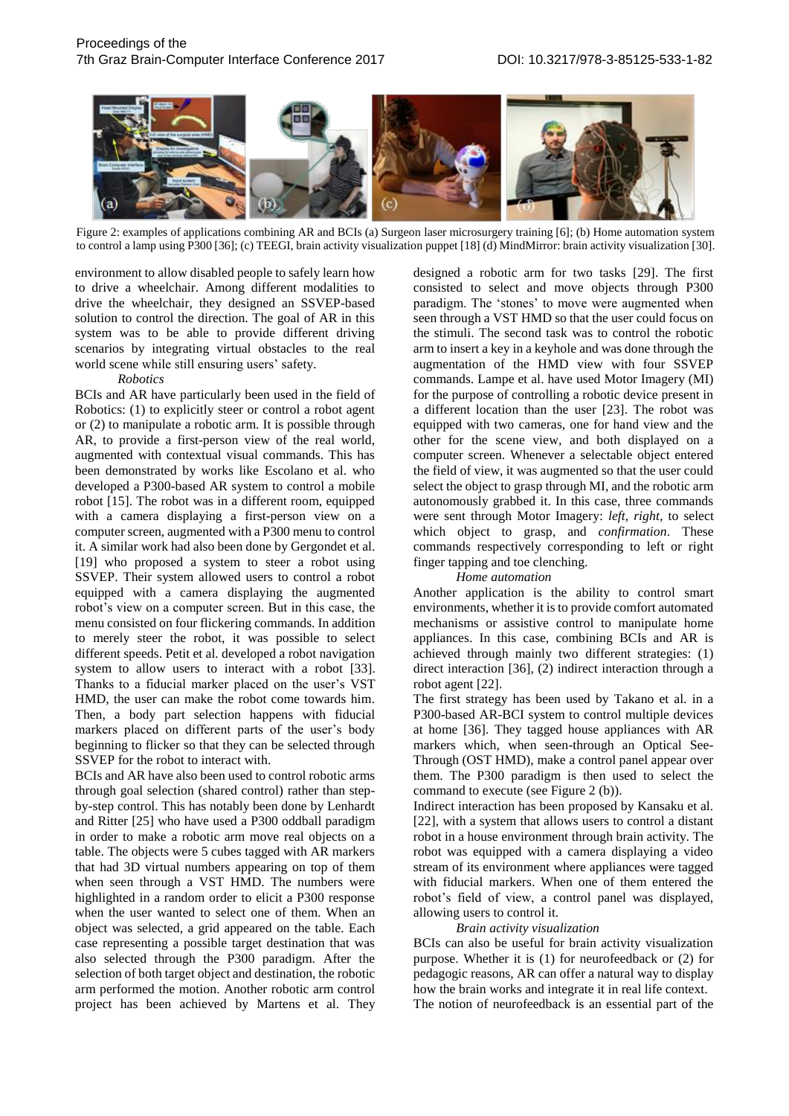

Figure 2: examples of applications combining AR and BCIs (a) Surgeon laser microsurgery training [6]; (b) Home automation system to control a lamp using P300 [36]; (c) TEEGI, brain activity visualization puppet [18] (d) MindMirror: brain activity visualization [30].

environment to allow disabled people to safely learn how to drive a wheelchair. Among different modalities to drive the wheelchair, they designed an SSVEP-based solution to control the direction. The goal of AR in this system was to be able to provide different driving scenarios by integrating virtual obstacles to the real world scene while still ensuring users' safety.

#### *Robotics*

BCIs and AR have particularly been used in the field of Robotics: (1) to explicitly steer or control a robot agent or (2) to manipulate a robotic arm. It is possible through AR, to provide a first-person view of the real world, augmented with contextual visual commands. This has been demonstrated by works like Escolano et al. who developed a P300-based AR system to control a mobile robot [15]. The robot was in a different room, equipped with a camera displaying a first-person view on a computer screen, augmented with a P300 menu to control it. A similar work had also been done by Gergondet et al. [19] who proposed a system to steer a robot using SSVEP. Their system allowed users to control a robot equipped with a camera displaying the augmented robot's view on a computer screen. But in this case, the menu consisted on four flickering commands. In addition to merely steer the robot, it was possible to select different speeds. Petit et al. developed a robot navigation system to allow users to interact with a robot [33]. Thanks to a fiducial marker placed on the user's VST HMD, the user can make the robot come towards him. Then, a body part selection happens with fiducial markers placed on different parts of the user's body beginning to flicker so that they can be selected through SSVEP for the robot to interact with.

BCIs and AR have also been used to control robotic arms through goal selection (shared control) rather than stepby-step control. This has notably been done by Lenhardt and Ritter [25] who have used a P300 oddball paradigm in order to make a robotic arm move real objects on a table. The objects were 5 cubes tagged with AR markers that had 3D virtual numbers appearing on top of them when seen through a VST HMD. The numbers were highlighted in a random order to elicit a P300 response when the user wanted to select one of them. When an object was selected, a grid appeared on the table. Each case representing a possible target destination that was also selected through the P300 paradigm. After the selection of both target object and destination, the robotic arm performed the motion. Another robotic arm control project has been achieved by Martens et al. They designed a robotic arm for two tasks [29]. The first consisted to select and move objects through P300 paradigm. The 'stones' to move were augmented when seen through a VST HMD so that the user could focus on the stimuli. The second task was to control the robotic arm to insert a key in a keyhole and was done through the augmentation of the HMD view with four SSVEP commands. Lampe et al. have used Motor Imagery (MI) for the purpose of controlling a robotic device present in a different location than the user [23]. The robot was equipped with two cameras, one for hand view and the other for the scene view, and both displayed on a computer screen. Whenever a selectable object entered the field of view, it was augmented so that the user could select the object to grasp through MI, and the robotic arm autonomously grabbed it. In this case, three commands were sent through Motor Imagery: *left, right,* to select which object to grasp, and *confirmation*. These commands respectively corresponding to left or right finger tapping and toe clenching.

#### *Home automation*

Another application is the ability to control smart environments, whether it is to provide comfort automated mechanisms or assistive control to manipulate home appliances. In this case, combining BCIs and AR is achieved through mainly two different strategies: (1) direct interaction [36], (2) indirect interaction through a robot agent [22].

The first strategy has been used by Takano et al. in a P300-based AR-BCI system to control multiple devices at home [36]. They tagged house appliances with AR markers which, when seen-through an Optical See-Through (OST HMD), make a control panel appear over them. The P300 paradigm is then used to select the command to execute (see Figure 2 (b)).

Indirect interaction has been proposed by Kansaku et al. [22], with a system that allows users to control a distant robot in a house environment through brain activity. The robot was equipped with a camera displaying a video stream of its environment where appliances were tagged with fiducial markers. When one of them entered the robot's field of view, a control panel was displayed, allowing users to control it.

#### *Brain activity visualization*

BCIs can also be useful for brain activity visualization purpose. Whether it is (1) for neurofeedback or (2) for pedagogic reasons, AR can offer a natural way to display how the brain works and integrate it in real life context.

The notion of neurofeedback is an essential part of the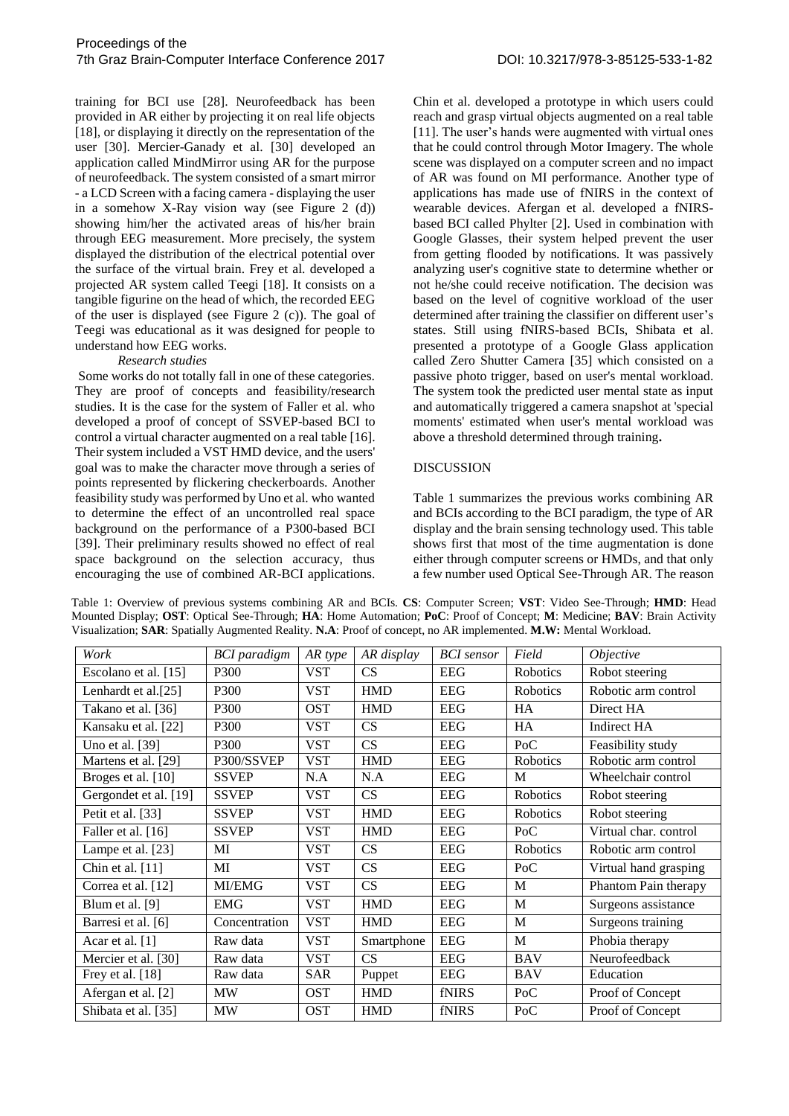training for BCI use [28]. Neurofeedback has been provided in AR either by projecting it on real life objects [18], or displaying it directly on the representation of the user [30]. Mercier-Ganady et al. [30] developed an application called MindMirror using AR for the purpose of neurofeedback. The system consisted of a smart mirror - a LCD Screen with a facing camera - displaying the user in a somehow X-Ray vision way (see Figure 2 (d)) showing him/her the activated areas of his/her brain through EEG measurement. More precisely, the system displayed the distribution of the electrical potential over the surface of the virtual brain. Frey et al. developed a projected AR system called Teegi [18]. It consists on a tangible figurine on the head of which, the recorded EEG of the user is displayed (see Figure 2 (c)). The goal of Teegi was educational as it was designed for people to understand how EEG works.

#### *Research studies*

Some works do not totally fall in one of these categories. They are proof of concepts and feasibility/research studies. It is the case for the system of Faller et al. who developed a proof of concept of SSVEP-based BCI to control a virtual character augmented on a real table [16]. Their system included a VST HMD device, and the users' goal was to make the character move through a series of points represented by flickering checkerboards. Another feasibility study was performed by Uno et al. who wanted to determine the effect of an uncontrolled real space background on the performance of a P300-based BCI [39]. Their preliminary results showed no effect of real space background on the selection accuracy, thus encouraging the use of combined AR-BCI applications. Chin et al. developed a prototype in which users could reach and grasp virtual objects augmented on a real table [11]. The user's hands were augmented with virtual ones that he could control through Motor Imagery. The whole scene was displayed on a computer screen and no impact of AR was found on MI performance. Another type of applications has made use of fNIRS in the context of wearable devices. Afergan et al. developed a fNIRSbased BCI called Phylter [2]. Used in combination with Google Glasses, their system helped prevent the user from getting flooded by notifications. It was passively analyzing user's cognitive state to determine whether or not he/she could receive notification. The decision was based on the level of cognitive workload of the user determined after training the classifier on different user's states. Still using fNIRS-based BCIs, Shibata et al. presented a prototype of a Google Glass application called Zero Shutter Camera [35] which consisted on a passive photo trigger, based on user's mental workload. The system took the predicted user mental state as input and automatically triggered a camera snapshot at 'special moments' estimated when user's mental workload was above a threshold determined through training**.**

#### DISCUSSION

Table 1 summarizes the previous works combining AR and BCIs according to the BCI paradigm, the type of AR display and the brain sensing technology used. This table shows first that most of the time augmentation is done either through computer screens or HMDs, and that only a few number used Optical See-Through AR. The reason

| Work                  | <b>BCI</b> paradigm | AR type    | AR display | <b>BCI</b> sensor | Field           | Objective             |
|-----------------------|---------------------|------------|------------|-------------------|-----------------|-----------------------|
| Escolano et al. [15]  | P300                | <b>VST</b> | <b>CS</b>  | <b>EEG</b>        | <b>Robotics</b> | Robot steering        |
| Lenhardt et al.[25]   | P300                | <b>VST</b> | <b>HMD</b> | <b>EEG</b>        | <b>Robotics</b> | Robotic arm control   |
| Takano et al. [36]    | P300                | <b>OST</b> | <b>HMD</b> | <b>EEG</b>        | HA              | Direct HA             |
| Kansaku et al. [22]   | P300                | <b>VST</b> | <b>CS</b>  | <b>EEG</b>        | <b>HA</b>       | Indirect HA           |
| Uno et al. [39]       | P300                | <b>VST</b> | CS         | <b>EEG</b>        | PoC             | Feasibility study     |
| Martens et al. [29]   | P300/SSVEP          | <b>VST</b> | <b>HMD</b> | <b>EEG</b>        | Robotics        | Robotic arm control   |
| Broges et al. [10]    | <b>SSVEP</b>        | N.A        | N.A        | <b>EEG</b>        | M               | Wheelchair control    |
| Gergondet et al. [19] | <b>SSVEP</b>        | <b>VST</b> | CS         | <b>EEG</b>        | Robotics        | Robot steering        |
| Petit et al. [33]     | <b>SSVEP</b>        | <b>VST</b> | <b>HMD</b> | <b>EEG</b>        | <b>Robotics</b> | Robot steering        |
| Faller et al. [16]    | <b>SSVEP</b>        | <b>VST</b> | <b>HMD</b> | <b>EEG</b>        | PoC             | Virtual char. control |
| Lampe et al. [23]     | MI                  | <b>VST</b> | CS         | <b>EEG</b>        | Robotics        | Robotic arm control   |
| Chin et al. [11]      | MI                  | <b>VST</b> | CS         | <b>EEG</b>        | PoC             | Virtual hand grasping |
| Correa et al. [12]    | MI/EMG              | <b>VST</b> | CS         | <b>EEG</b>        | M               | Phantom Pain therapy  |
| Blum et al. [9]       | <b>EMG</b>          | <b>VST</b> | <b>HMD</b> | <b>EEG</b>        | M               | Surgeons assistance   |
| Barresi et al. [6]    | Concentration       | <b>VST</b> | <b>HMD</b> | <b>EEG</b>        | M               | Surgeons training     |
| Acar et al. [1]       | Raw data            | <b>VST</b> | Smartphone | <b>EEG</b>        | M               | Phobia therapy        |
| Mercier et al. [30]   | Raw data            | <b>VST</b> | CS         | <b>EEG</b>        | <b>BAV</b>      | Neurofeedback         |
| Frey et al. [18]      | Raw data            | <b>SAR</b> | Puppet     | <b>EEG</b>        | <b>BAV</b>      | Education             |
| Afergan et al. [2]    | <b>MW</b>           | <b>OST</b> | <b>HMD</b> | fNIRS             | PoC             | Proof of Concept      |
| Shibata et al. [35]   | <b>MW</b>           | <b>OST</b> | <b>HMD</b> | fNIRS             | PoC             | Proof of Concept      |

Table 1: Overview of previous systems combining AR and BCIs. **CS**: Computer Screen; **VST**: Video See-Through; **HMD**: Head Mounted Display; **OST**: Optical See-Through; **HA**: Home Automation; **PoC**: Proof of Concept; **M**: Medicine; **BAV**: Brain Activity Visualization; **SAR**: Spatially Augmented Reality. **N.A**: Proof of concept, no AR implemented. **M.W:** Mental Workload.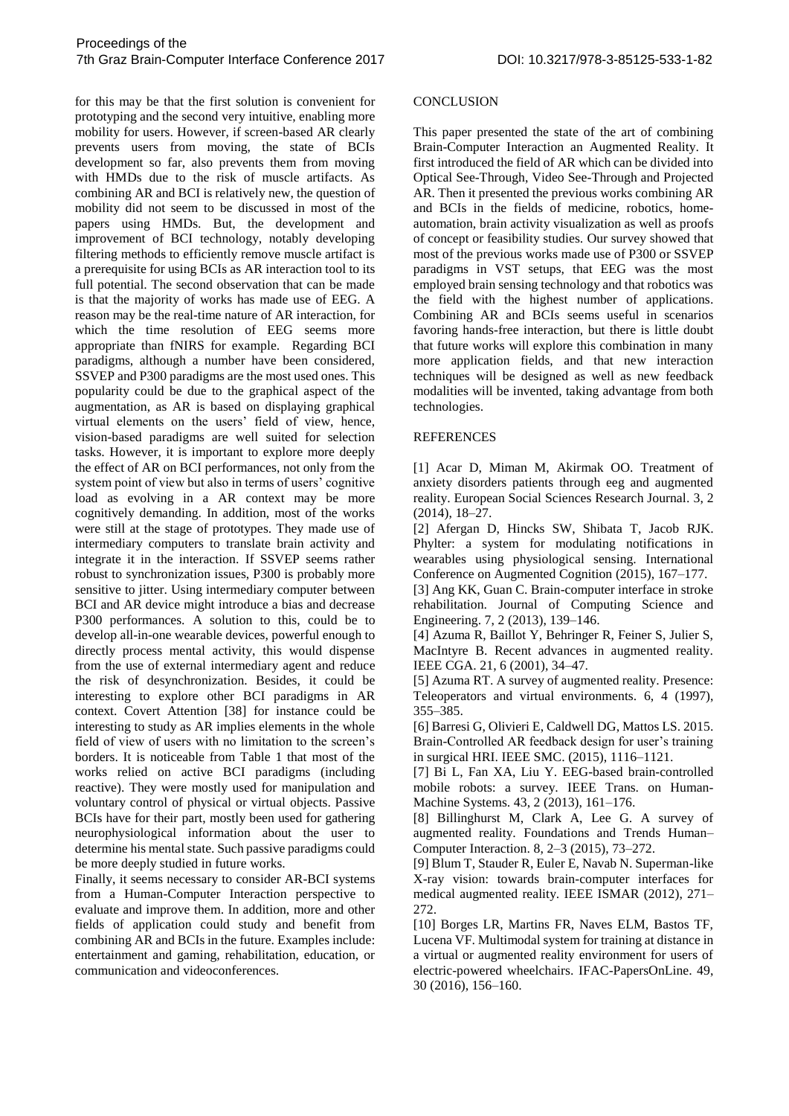for this may be that the first solution is convenient for prototyping and the second very intuitive, enabling more mobility for users. However, if screen-based AR clearly prevents users from moving, the state of BCIs development so far, also prevents them from moving with HMDs due to the risk of muscle artifacts. As combining AR and BCI is relatively new, the question of mobility did not seem to be discussed in most of the papers using HMDs. But, the development and improvement of BCI technology, notably developing filtering methods to efficiently remove muscle artifact is a prerequisite for using BCIs as AR interaction tool to its full potential. The second observation that can be made is that the majority of works has made use of EEG. A reason may be the real-time nature of AR interaction, for which the time resolution of EEG seems more appropriate than fNIRS for example. Regarding BCI paradigms, although a number have been considered, SSVEP and P300 paradigms are the most used ones. This popularity could be due to the graphical aspect of the augmentation, as AR is based on displaying graphical virtual elements on the users' field of view, hence, vision-based paradigms are well suited for selection tasks. However, it is important to explore more deeply the effect of AR on BCI performances, not only from the system point of view but also in terms of users' cognitive load as evolving in a AR context may be more cognitively demanding. In addition, most of the works were still at the stage of prototypes. They made use of intermediary computers to translate brain activity and integrate it in the interaction. If SSVEP seems rather robust to synchronization issues, P300 is probably more sensitive to jitter. Using intermediary computer between BCI and AR device might introduce a bias and decrease P300 performances. A solution to this, could be to develop all-in-one wearable devices, powerful enough to directly process mental activity, this would dispense from the use of external intermediary agent and reduce the risk of desynchronization. Besides, it could be interesting to explore other BCI paradigms in AR context. Covert Attention [38] for instance could be interesting to study as AR implies elements in the whole field of view of users with no limitation to the screen's borders. It is noticeable from Table 1 that most of the works relied on active BCI paradigms (including reactive). They were mostly used for manipulation and voluntary control of physical or virtual objects. Passive BCIs have for their part, mostly been used for gathering neurophysiological information about the user to determine his mental state. Such passive paradigms could be more deeply studied in future works.

Finally, it seems necessary to consider AR-BCI systems from a Human-Computer Interaction perspective to evaluate and improve them. In addition, more and other fields of application could study and benefit from combining AR and BCIs in the future. Examples include: entertainment and gaming, rehabilitation, education, or communication and videoconferences.

#### **CONCLUSION**

This paper presented the state of the art of combining Brain-Computer Interaction an Augmented Reality. It first introduced the field of AR which can be divided into Optical See-Through, Video See-Through and Projected AR. Then it presented the previous works combining AR and BCIs in the fields of medicine, robotics, homeautomation, brain activity visualization as well as proofs of concept or feasibility studies. Our survey showed that most of the previous works made use of P300 or SSVEP paradigms in VST setups, that EEG was the most employed brain sensing technology and that robotics was the field with the highest number of applications. Combining AR and BCIs seems useful in scenarios favoring hands-free interaction, but there is little doubt that future works will explore this combination in many more application fields, and that new interaction techniques will be designed as well as new feedback modalities will be invented, taking advantage from both technologies.

### REFERENCES

[1] Acar D, Miman M, Akirmak OO. Treatment of anxiety disorders patients through eeg and augmented reality. European Social Sciences Research Journal. 3, 2 (2014), 18–27.

[2] Afergan D, Hincks SW, Shibata T, Jacob RJK. Phylter: a system for modulating notifications in wearables using physiological sensing. International Conference on Augmented Cognition (2015), 167–177.

[3] Ang KK, Guan C. Brain-computer interface in stroke rehabilitation. Journal of Computing Science and Engineering. 7, 2 (2013), 139–146.

[4] Azuma R, Baillot Y, Behringer R, Feiner S, Julier S, MacIntyre B. Recent advances in augmented reality. IEEE CGA. 21, 6 (2001), 34–47.

[5] Azuma RT. A survey of augmented reality. Presence: Teleoperators and virtual environments. 6, 4 (1997), 355–385.

[6] Barresi G, Olivieri E, Caldwell DG, Mattos LS. 2015. Brain-Controlled AR feedback design for user's training in surgical HRI. IEEE SMC. (2015), 1116–1121.

[7] Bi L, Fan XA, Liu Y. EEG-based brain-controlled mobile robots: a survey. IEEE Trans. on Human-Machine Systems. 43, 2 (2013), 161–176.

[8] Billinghurst M, Clark A, Lee G. A survey of augmented reality. Foundations and Trends Human– Computer Interaction. 8, 2–3 (2015), 73–272.

[9] Blum T, Stauder R, Euler E, Navab N. Superman-like X-ray vision: towards brain-computer interfaces for medical augmented reality. IEEE ISMAR (2012), 271– 272.

[10] Borges LR, Martins FR, Naves ELM, Bastos TF, Lucena VF. Multimodal system for training at distance in a virtual or augmented reality environment for users of electric-powered wheelchairs. IFAC-PapersOnLine. 49, 30 (2016), 156–160.